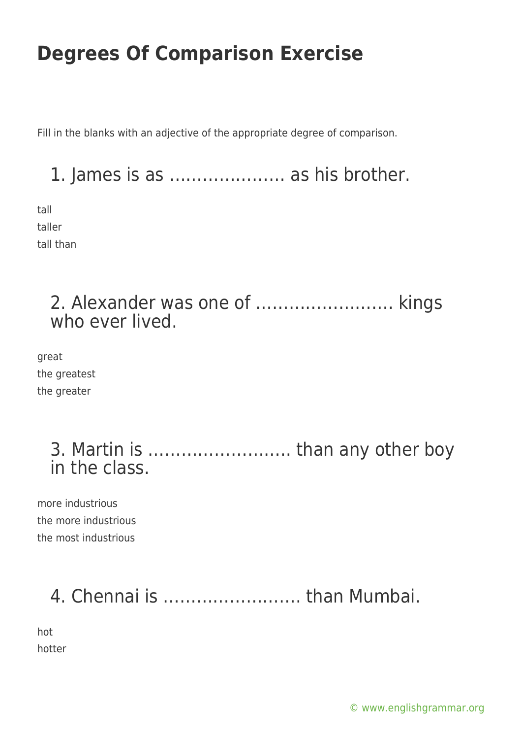Fill in the blanks with an adjective of the appropriate degree of comparison.

1. James is as ………………… as his brother.

tall taller tall than

#### 2. Alexander was one of ……………………. kings who ever lived.

great the greatest the greater

> 3. Martin is …………………….. than any other boy in the class.

more industrious the more industrious the most industrious

# 4. Chennai is ……………………. than Mumbai.

hot hotter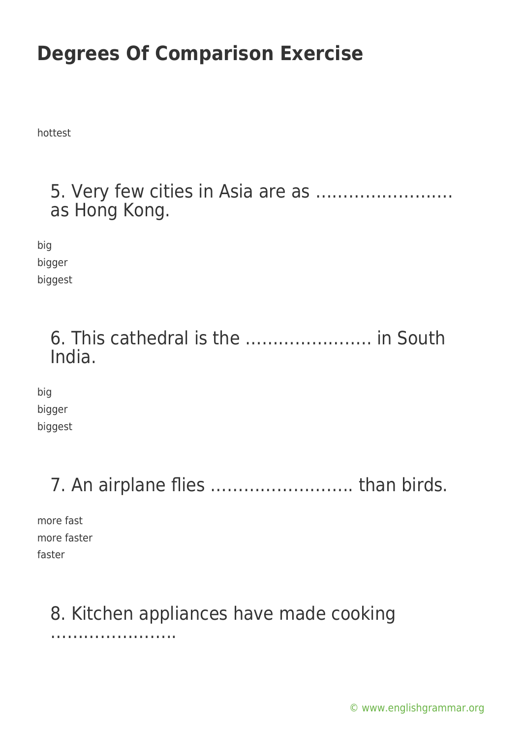hottest

#### 5. Very few cities in Asia are as ……………………. as Hong Kong.

big bigger biggest

#### 6. This cathedral is the ………………….. in South India.

big bigger biggest

### 7. An airplane flies …………………….. than birds.

more fast more faster faster

#### 8. Kitchen appliances have made cooking

…………………..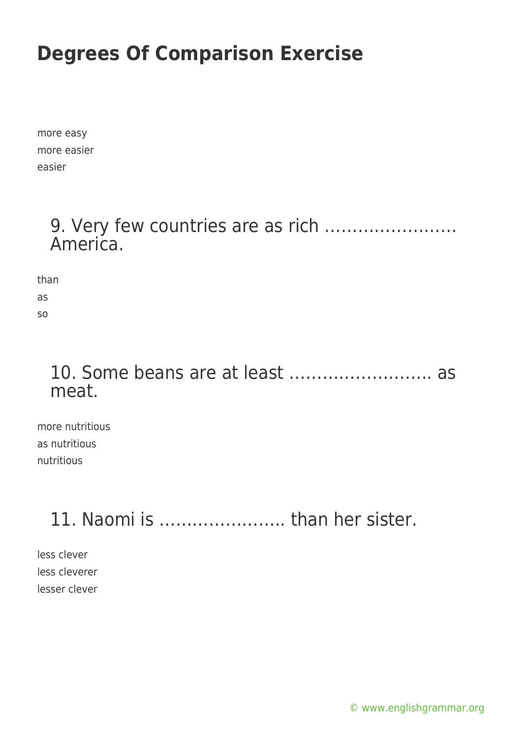more easy more easier easier

#### 9. Very few countries are as rich …………………… America.

than

as so

#### 10. Some beans are at least …………………….. as meat.

more nutritious as nutritious nutritious

## 11. Naomi is ………………….. than her sister.

less clever less cleverer lesser clever

[© www.englishgrammar.org](https://www.englishgrammar.org/)